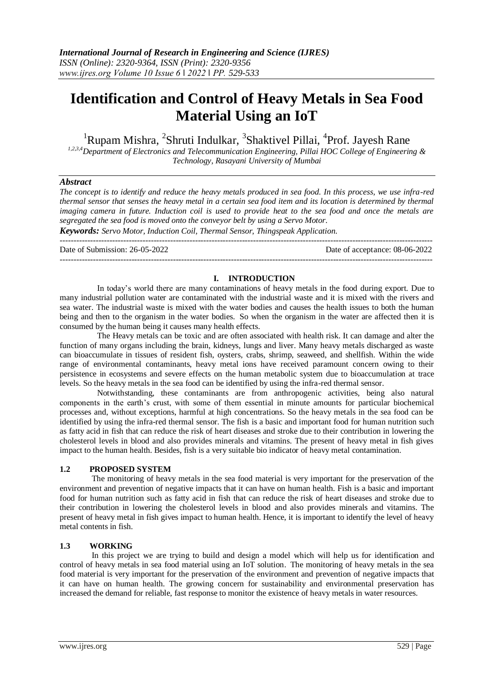# **Identification and Control of Heavy Metals in Sea Food Material Using an IoT**

<sup>1</sup>Rupam Mishra, <sup>2</sup>Shruti Indulkar, <sup>3</sup>Shaktivel Pillai, <sup>4</sup>Prof. Jayesh Rane

*1,2,3,4Department of Electronics and Telecommunication Engineering, Pillai HOC College of Engineering & Technology, Rasayani University of Mumbai*

#### *Abstract*

*The concept is to identify and reduce the heavy metals produced in sea food. In this process, we use infra-red thermal sensor that senses the heavy metal in a certain sea food item and its location is determined by thermal imaging camera in future. Induction coil is used to provide heat to the sea food and once the metals are segregated the sea food is moved onto the conveyor belt by using a Servo Motor.*

*Keywords: Servo Motor, Induction Coil, Thermal Sensor, Thingspeak Application.* ---------------------------------------------------------------------------------------------------------------------------------------

Date of Submission: 26-05-2022 Date of acceptance: 08-06-2022 ---------------------------------------------------------------------------------------------------------------------------------------

## **I. INTRODUCTION**

In today's world there are many contaminations of heavy metals in the food during export. Due to many industrial pollution water are contaminated with the industrial waste and it is mixed with the rivers and sea water. The industrial waste is mixed with the water bodies and causes the health issues to both the human being and then to the organism in the water bodies. So when the organism in the water are affected then it is consumed by the human being it causes many health effects.

The Heavy metals can be toxic and are often associated with health risk. It can damage and alter the function of many organs including the brain, kidneys, lungs and liver. Many heavy metals discharged as waste can bioaccumulate in tissues of resident fish, oysters, crabs, shrimp, seaweed, and shellfish. Within the wide range of environmental contaminants, heavy metal ions have received paramount concern owing to their persistence in ecosystems and severe effects on the human metabolic system due to bioaccumulation at trace levels. So the heavy metals in the sea food can be identified by using the infra-red thermal sensor.

Notwithstanding, these contaminants are from anthropogenic activities, being also natural components in the earth's crust, with some of them essential in minute amounts for particular biochemical processes and, without exceptions, harmful at high concentrations. So the heavy metals in the sea food can be identified by using the infra-red thermal sensor. The fish is a basic and important food for human nutrition such as fatty acid in fish that can reduce the risk of heart diseases and stroke due to their contribution in lowering the cholesterol levels in blood and also provides minerals and vitamins. The present of heavy metal in fish gives impact to the human health. Besides, fish is a very suitable bio indicator of heavy metal contamination.

#### **1.2 PROPOSED SYSTEM**

The monitoring of heavy metals in the sea food material is very important for the preservation of the environment and prevention of negative impacts that it can have on human health. Fish is a basic and important food for human nutrition such as fatty acid in fish that can reduce the risk of heart diseases and stroke due to their contribution in lowering the cholesterol levels in blood and also provides minerals and vitamins. The present of heavy metal in fish gives impact to human health. Hence, it is important to identify the level of heavy metal contents in fish.

#### **1.3 WORKING**

In this project we are trying to build and design a model which will help us for identification and control of heavy metals in sea food material using an IoT solution. The monitoring of heavy metals in the sea food material is very important for the preservation of the environment and prevention of negative impacts that it can have on human health. The growing concern for sustainability and environmental preservation has increased the demand for reliable, fast response to monitor the existence of heavy metals in water resources.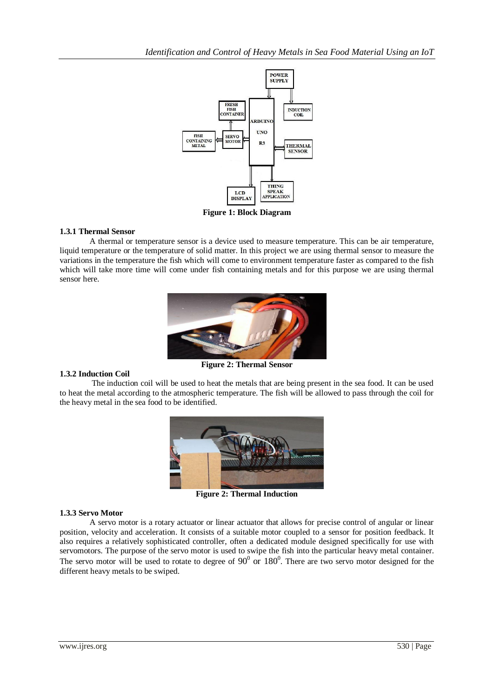

## **1.3.1 Thermal Sensor**

 A thermal or temperature sensor is a device used to measure temperature. This can be air temperature, liquid temperature or the temperature of solid matter. In this project we are using thermal sensor to measure the variations in the temperature the fish which will come to environment temperature faster as compared to the fish which will take more time will come under fish containing metals and for this purpose we are using thermal sensor here.



#### **1.3.2 Induction Coil**

**Figure 2: Thermal Sensor**

The induction coil will be used to heat the metals that are being present in the sea food. It can be used to heat the metal according to the atmospheric temperature. The fish will be allowed to pass through the coil for the heavy metal in the sea food to be identified.



**Figure 2: Thermal Induction** 

#### **1.3.3 Servo Motor**

A servo motor is a rotary actuator or linear actuator that allows for precise control of angular or linear position, velocity and acceleration. It consists of a suitable motor coupled to a sensor for position feedback. It also requires a relatively sophisticated controller, often a dedicated module designed specifically for use with servomotors. The purpose of the servo motor is used to swipe the fish into the particular heavy metal container. The servo motor will be used to rotate to degree of  $90^{\circ}$  or  $180^{\circ}$ . There are two servo motor designed for the different heavy metals to be swiped.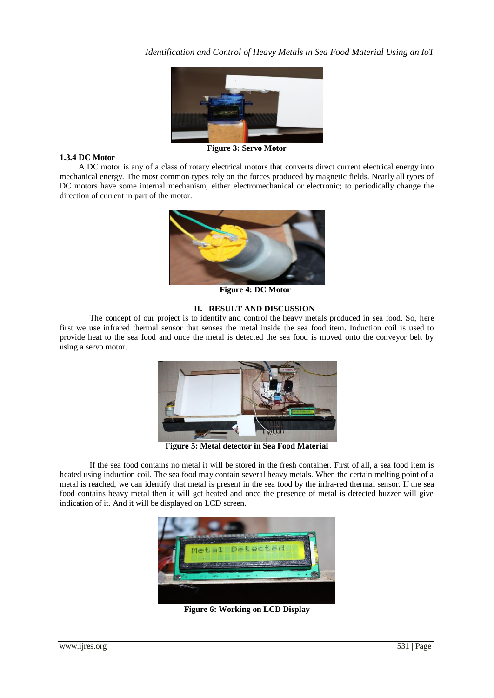

#### **1.3.4 DC Motor**

 A DC motor is any of a class of rotary electrical motors that converts direct current electrical energy into mechanical energy. The most common types rely on the forces produced by magnetic fields. Nearly all types of DC motors have some internal mechanism, either electromechanical or electronic; to periodically change the direction of current in part of the motor.



**Figure 4: DC Motor** 

#### **II. RESULT AND DISCUSSION**

The concept of our project is to identify and control the heavy metals produced in sea food. So, here first we use infrared thermal sensor that senses the metal inside the sea food item. Induction coil is used to provide heat to the sea food and once the metal is detected the sea food is moved onto the conveyor belt by using a servo motor.



**Figure 5: Metal detector in Sea Food Material**

If the sea food contains no metal it will be stored in the fresh container. First of all, a sea food item is heated using induction coil. The sea food may contain several heavy metals. When the certain melting point of a metal is reached, we can identify that metal is present in the sea food by the infra-red thermal sensor. If the sea food contains heavy metal then it will get heated and once the presence of metal is detected buzzer will give indication of it. And it will be displayed on LCD screen.



**Figure 6: Working on LCD Display**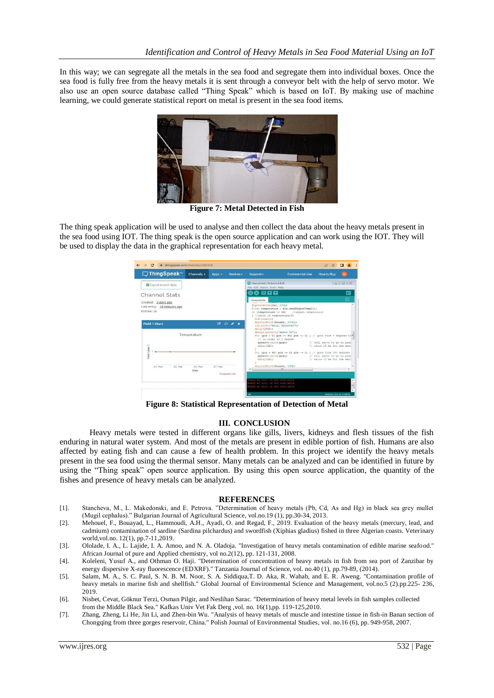In this way; we can segregate all the metals in the sea food and segregate them into individual boxes. Once the sea food is fully free from the heavy metals it is sent through a conveyor belt with the help of servo motor. We also use an open source database called "Thing Speak" which is based on IoT. By making use of machine learning, we could generate statistical report on metal is present in the sea food items.



**Figure 7: Metal Detected in Fish**

The thing speak application will be used to analyse and then collect the data about the heavy metals present in the sea food using IOT. The thing speak is the open source application and can work using the IOT. They will be used to display the data in the graphical representation for each heavy metal.

| □ ThingSpeak™                                                    | Channels -  | Apps $\div$ | Devices -       | Support +                                                                                                                                                                         | <b>Commercial Use</b>                                                                | <b>How to Buy</b>                                           | <b>SI</b>   |
|------------------------------------------------------------------|-------------|-------------|-----------------|-----------------------------------------------------------------------------------------------------------------------------------------------------------------------------------|--------------------------------------------------------------------------------------|-------------------------------------------------------------|-------------|
| <b>2</b> Export recent data                                      |             |             |                 | Heavymetal   Arduino 1.8.16<br>File Edit Sketch Tools Help                                                                                                                        |                                                                                      | $\circ$                                                     | E3<br>$\Xi$ |
| Channel Stats                                                    |             |             |                 | $\mathbf{o}$ b d c                                                                                                                                                                |                                                                                      |                                                             | $\circ$     |
| Created: 3.days.ago<br>Last entry: 10.minutes.ago<br>Entries: 16 |             |             |                 | Heavymetal<br>digitalWrite(in2, LOW);<br>float temperature = mlx.readObjectTempC();<br>if (temperature >= 32) //adjust temperature<br>( //check if temperature>30<br>lod.clear(); |                                                                                      |                                                             |             |
| <b>Field 1 Chart</b>                                             |             |             | $B$ $O$ $A$ $X$ | digitalWrite (buzzer, HIGH) ;<br>lod.print("Metal Detected");                                                                                                                     |                                                                                      |                                                             |             |
| Label                                                            | Temperature |             |                 | delary(2000);<br>Serial.println("servo On");<br>// in steps of 1 degree<br>myservo. Write (pos) ;<br>$dnlay(10)$ :                                                                | for (pos = 0; pos <= 90; pos += 1) { // goes from 0 degrees $\text{td}^{\text{III}}$ | // tell servo to go to posi<br>// waits 15 ms for the serv  |             |
| Field I                                                          |             |             |                 | myservo.write(pos);<br>$delav(10)$ ;                                                                                                                                              | for (pos = 90; pos >= 0; pos -= 1) { // goes from 180 degrees                        | // tell servo to go to posi<br>// waits 15 ms for the servi |             |
| 24. Mar<br>25 Mar                                                | 26. Mar     | 27. Mar     |                 | digitalWrite(buzzer, LOW);<br>$\leftarrow$<br>311.                                                                                                                                |                                                                                      |                                                             |             |
|                                                                  | Date        |             | ThingSpeak.com  |                                                                                                                                                                                   |                                                                                      |                                                             |             |
|                                                                  |             |             |                 | pard at hull is not available<br>ard at null is not available<br>card at null is not available                                                                                    |                                                                                      |                                                             |             |

**Figure 8: Statistical Representation of Detection of Metal**

#### **III. CONCLUSION**

Heavy metals were tested in different organs like gills, livers, kidneys and flesh tissues of the fish enduring in natural water system. And most of the metals are present in edible portion of fish. Humans are also affected by eating fish and can cause a few of health problem. In this project we identify the heavy metals present in the sea food using the thermal sensor. Many metals can be analyzed and can be identified in future by using the "Thing speak" open source application. By using this open source application, the quantity of the fishes and presence of heavy metals can be analyzed.

#### **REFERENCES**

- [1]. Stancheva, M., L. Makedonski, and E. Petrova. "Determination of heavy metals (Pb, Cd, As and Hg) in black sea grey mullet (Mugil cephalus)." Bulgarian Journal of Agricultural Science, vol.no.19 (1), pp.30-34, 2013.
- [2]. Mehouel, F., Bouayad, L., Hammoudi, A.H., Ayadi, O. and Regad, F., 2019. Evaluation of the heavy metals (mercury, lead, and cadmium) contamination of sardine (Sardina pilchardus) and swordfish (Xiphias gladius) fished in three Algerian coasts. Veterinary world,vol.no. 12(1), pp.7-11,2019.
- [3]. Ololade, I. A., L. Lajide, I. A. Amoo, and N. A. Oladoja. "Investigation of heavy metals contamination of edible marine seafood." African Journal of pure and Applied chemistry, vol no.2(12), pp. 121-131, 2008.
- [4]. Koleleni, Yusuf A., and Othman O. Haji. "Determination of concentration of heavy metals in fish from sea port of Zanzibar by energy dispersive X-ray fluorescence (EDXRF)." Tanzania Journal of Science, vol. no.40 (1), pp.79-89, (2014).
- [5]. Salam, M. A., S. C. Paul, S. N. B. M. Noor, S. A. Siddiqua,T. D. Aka, R. Wahab, and E. R. Aweng. "Contamination profile of heavy metals in marine fish and shellfish." Global Journal of Environmental Science and Management, vol.no.5 (2).pp.225- 236, 2019.
- [6]. Nisbet, Cevat, Göknur Terzi, Osman Pilgir, and Neslihan Sarac. "Determination of heavy metal levels in fish samples collected from the Middle Black Sea." Kafkas Univ Vet Fak Derg ,vol. no. 16(1),pp. 119-125,2010.
- [7]. Zhang, Zheng, Li He, Jin Li, and Zhen-bin Wu. "Analysis of heavy metals of muscle and intestine tissue in fish-in Banan section of Chongqing from three gorges reservoir, China." Polish Journal of Environmental Studies, vol. no.16 (6), pp. 949-958, 2007.